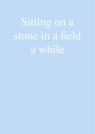Sitting on a stone in a field a while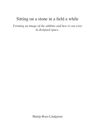# Sitting on a stone in a field a while

*Forming an image of the sublime and how it can exist in designed space.* 

Marijn Roos Lindgreen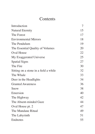# Contents

| Introduction                          | 7  |
|---------------------------------------|----|
| Natural Eternity                      | 15 |
| The Forest                            | 17 |
| <b>Environmental Mirrors</b>          | 18 |
| The Pendulum                          | 19 |
| The Essential Quality of Volumes      | 20 |
| Oval House                            | 22 |
| My Exaggerated Universe               | 25 |
| <b>Spatial Signs</b>                  | 27 |
| The Fire                              | 30 |
| Sitting on a stone in a field a while | 32 |
| The Whale                             | 33 |
| Deer in the Headlights                | 34 |
| <b>Granted Awareness</b>              | 36 |
| Snow                                  | 38 |
| Emersion                              | 40 |
| The Highway                           | 42 |
| The Absent-minded Gaze                | 44 |
| Oval House pt. 2                      | 47 |
| The Mundane Ritual                    | 49 |
| The Labyrinth                         | 51 |
| Endnotes                              | 55 |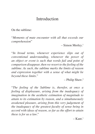# Introduction

On the sublime:

"*Moments of mute encounter with all that exceeds our comprehension*"

– Simon Morley.<sup>1</sup>

"*In broad terms, whenever experience slips out of conventional understanding, whenever the power of an object or event is such that words fail and point of comparison disappear, then we resort to the feeling of the sublime. As such, the sublime marks the limits of reason and expression together with a sense of what might lie beyond these limits.*"

– Philip Shaw.2

"*The feeling of the Sublime is, therefor, at once a feeling of displeasure, arising from the inadequacy of imagination in the aesthetic estimation of magnitude to attain to its estimation by reason, and a simultaneously awakened pleasure, arising from this very judgement of the inadequacy of the greatest faculty of sense being in accord with ideas of reason, so far as the effort to attain these is for us a law.*"

 $-$  Kant.<sup>1</sup>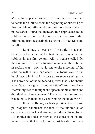Many philosophers, writers, artists and others have tried to define the sublime, from the beginning of our era up to this day. Many different definitions have been given. In my research I found that there are four approaches to the sublime that seem to still dominate the discourse today, originating from respectively Longinus, Burke, Kant and Schiller.

Longinus, a teacher of rhetoric in ancient Greece, is the writer of the first known source on the sublime in the first century AD: a treatise called On the Sublime. This work focused mainly on the sublime in spoken text – how could one evoke a feeling of the sublime within their audience? The focus lays on the heroic act, which could induce transcendence of reality. The heroic act of the writer and speaker that is: he should have "great thoughts, strong emotions" and should use "certain figures of thought and speech, noble diction and dignified word arrangement." The writer was to discover true nobility in their art by confronting the unknown.<sup>1, 3</sup>

Edmund Burke, an Irish political theorist and philosopher, established the idea of the sublime as an experience of shock and awe and as a destabilising force. He applied this idea mostly to the concept of nature: nature so vast that it could not be just beautiful – it was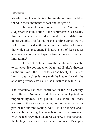also thrilling, fear-inducing. To him the sublime could be found in these moments of fear and delight. $1,4$ 

Immanuel Kant stated in his Critique of Judgement that the notion of the sublime reveals a reality that is fundamentally indeterminate, undecidable and unpresentable. The feeling of the sublime comes from a lack of limits, and with that comes an inability to grasp that which we encounter. This awareness of lack causes an awareness of, or perhaps confrontation with, our own limitations<sup>1</sup>

Friedrich Schiller saw the sublime as ecstatic experience. He continues on Kant and Burke's theories on the sublime – the mix of terror and beauty, the lack of limits – but involves it more with the idea of the self: the absolute greatness we can sense in nature is within us.<sup>1</sup>

The discourse has been continued in the 20th century, with Barnett Newman and Jean-Francois Lyotard as important figures. They put the focus more and more not just on the awe and wonder, but on the terror that is part of the sublime feeling. And – it is no longer about accurately depicting that which is normally associated with the feeling, which is natural scenery. It is rather about the feeling in itself and how it can be induced. Examples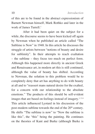of this are to be found in the abstract expressionism of Barnett Newman himself, Mark Rothko and later in the work of James Turrell<sup>1</sup>

After it had been quiet on the subject for a while, the discourse seems to have been kicked off again by Newman when he published an article called "The Sublime is Now" in 1948. In this article he discusses the struggle of artists between "notions of beauty and desire for sublimity". In their attempts to reach exaltation – the sublime – they focus too much on perfect form. Although this happened more directly in ancient Greek and Renaissance art, in modern art this is still continued, although the value of beauty has shifted. According to Newman, the solution to this problem would be to completely deny that art has anything to do with beauty at all and to "reassert mans natural desire for the exalted, for a concern with our relationship to the absolute emotions." The products of this should be self-evident images that are based on feelings instead of imagery.<sup>1,5,6</sup> This article influenced Lyotard in his discussion of the post-modern sublime towards the end of the 20<sup>th</sup> century. He shifts "The sublime is now" to "Now the sublime is like this", the "this" being the painting. He continues on the theories of Kant and Burke (although Burke is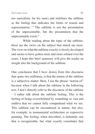too surrealistic for his taste) and redefines the sublime as the feeling that indicates the limits of reason and representation.<sup>7, 8</sup> The sublime is not the presentation of the unpresentable, but the presentation that the unpresentable exists.<sup>9</sup>

While reading about the topic of the sublime, these are the views on the subject that struck me most. The view on what the sublime exactly is slowly developed and seems to have gotten more and more refined over the years. I hope this brief summary will give the reader an insight into the background of the sublime.

One conclusion that I have drawn from this discourse that spans two millennia, is that the notion of the sublime is a subjective matter. Here, I use the phrase "notion of" because when I talk about the sublime in the following text, I don't directly refer to the discourse of the sublime – I rather talk about the sublime feeling. This is the feeling of being overwhelmed by something so vast and endless that we cannot fully comprehend what we see. This sublime can be encountered in nature, but also, for example, in monumental architecture or expressive painting. The feeling, when described, is definitely one that is recognizable, but what exactly constitutes that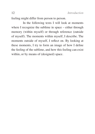feeling might differ from person to person.

In the following texts I will look at moments where I recognize the sublime in space – either through memory (within myself) or through reference (outside of myself). The moments within myself, I describe. The moments outside of myself, I reflect on. By looking at these moments, I try to form an image of how I define the feeling of the sublime, and how this feeling can exist within, or by means of (designed) space.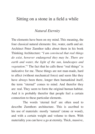## Sitting on a stone in a field a while

#### *Natural Eternity*

The elements have been on my mind. This meaning, the four classical natural elements: fire, water, earth and air. Architect Peter Zumthor talks about them in his book Thinking Architecture: "*I am convinced that real things do exist, however endangered they may be. There are earth and water, the light of the sun, landscapes and vegetation.*"1 The fact that he calls these "real things" is indicative for me. These things are not man-made, hard to affect (without mechanical force) and seem like they have always been there, longer then humankind itself, the term "eternal" comes to mind. And therefor they are: real. They seem to form the original human habitat. And it is probably therefor that people feel a certain connection to these particular elements.

The words 'eternal feel' are often used to describe Zumthors architecture. This is ascribed to his use of materials: mostly 'natural' (stone or wood), and with a certain weight and volume to them. With materiality you can have a go at eternity. Thick, massive,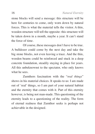stone blocks will send a message: this structure will be here for centuries to come, only worn down by natural forces. This is what the material tells the visitor. A thin, wooden structure will tell the opposite: this structure will be taken down in a month, maybe a year. It can't stand the force of time.

Of course, these messages don't have to be true. A bulldozer could come by the next day and take the big stone blocks, not even leaving a trace. And the thin, wooden beams could be reinforced and stuck in a deep concrete foundation, steadily staying in place for years. All this unbeknownst to the spectator, who only knows what he sees.

Zumthors fascination with the "*real things*" shows in his material choices. It speaks to us: I am made out of 'real' things, so I am part of your natural habitat and the eternity that comes with it. Part of this eternity however, is being not man-made. This questioning of the eternity leads to a questioning of the reality. The form of eternal realness that Zumthor seeks is perhaps not achievable in the designed.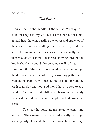*The Forest*

I think I am in the middle of the forest. My way in is equal in length to my way out. I am alone but it is not quiet. I hear the wind rustling the leaves and branches of the trees. I hear leaves falling. It rained before; the drops are still clinging to the branches and occasionally make their way down. I think I hear birds moving through the low bushes but it could also be some small rodents.

I just got off of the main, paved road leading me through the dunes and am now following a winding path. I have walked this path many times before. It is not paved, the earth is muddy and now and then I have to step over a puddle. There is a height difference between the muddy path and the adjacent grass: people walked away the earth.

The trees that surround me are quite skinny and very tall. They seem to be dispersed equally, although not regularly. They all have their own little territory.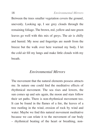Between the trees smaller vegetation covers the ground, unevenly. Looking up, I see grey clouds through the remaining foliage. The brown, red, yellow and rare green leaves go well with this mix of greys. The air is chilly and humid. My nose and fingertips are numb from the breeze but the walk over here warmed my body. I let the cold air fill my lungs and make little clouds with my breath.

### *Environmental Mirrors*

The movement that the natural elements possess attracts me. In nature one could find the meditative effects of rhythmical movement. The sea rises and lowers, the sun comes up and sets again, the moon and stars follow their set paths. There is non-rhythmical movement too. It can be found in the flames of a fire, the leaves of a tree rustling in the wind, erosion of rock by wind and water. Maybe we find this natural movement meditative because we can relate it to the movement of our body – rhythmical beating of the heart or breathing, non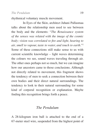rhythmical voluntary muscle movement.

In Eyes of the Skin, architect Juhani Pallasmaa talks about the relationship men used to see between the body and the elements: "*The Renaissance system of the senses was related with the image of the cosmic body; vision was correlated to fire and light, hearing to air, smell to vapour, taste to water, and touch to earth.*"<sup>2</sup> Some of these connections still make sense to us with current scientific knowledge – light waves determining the colours we see, sound waves traveling through air. The other ones perhaps not so much, but we can imagine how our ancestors came to those conclusions. Although not directly related to movement, this fragment shows the tendency of men to seek a connection between their own bodies and their direct natural surroundings. The tendency to look to their natural surrounding for some kind of corporal recognition or explanation. Maybe finding this recognition brings forth a peace.

### *The Pendulum*

A 28-kilogram iron ball is attached to the end of a 67-meter steel wire, suspended from the highest point of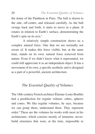the dome of the Pantheon in Paris. The ball is drawn to the side, off-centre, and released carefully. As the ball swings back and forth, it starts to move in a plane. It rotates in relation to Earth's surface, demonstrating the Earth's spin on its axis.<sup>3</sup>

A relatively simple construction shows us a complex natural force. One that we are normally not aware of. It makes this force visible, but, at the same time, stands on its own: natural force removed from nature. Even if we didn't know what it represented, we could still appreciate it as an independent object. It has a movement of its own, a specific aesthetic and is designed as a part of a powerful, ancient architecture.

### *The Essential Quality of Volumes*

The 18th-century French architect Étienne-Louis Boullée had a predilection for regular volume: cubes, spheres and cones. We like regular volumes, he says, because we can grasp them, understand them. They represent order.<sup>4</sup> These are the volumes he works with most in his architecture, which consists mostly of immense, neverbuild structures that were, at the time, impossible to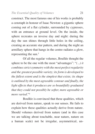construct. The most famous one of his works is probably a cenotaph in honour of Isaac Newton: a gigantic sphere coming out of a flat cylinder, surrounded by cypresses, with an entrance at ground level. On the inside, the sphere recreates an inverse day and night: during the day the sun shines through little holes in the ceiling, creating an accurate star pattern, and during the night an armillary sphere that hangs in the centre radiates a glow, representing the sun.<sup>5</sup>

Of all the regular volumes, Boullée thought the sphere to be the one with the most "advantages": "*(...) it combines strict symmetry with the most perfect regularity and the greatest possible variety; its form is developed to the fullest extent and is the simplest that exists; its shape is outlined by the most agreeable contour and finally, the light effects that it produces are so beautifully graduated that they could not possibly be softer, more agreeable or more varied.*"4

Boullée is convinced that these qualities, which are derived from nature, speak to our senses. He fails to explain how these qualities actually derive from nature. Should volumes derived from nature (and in this case we are talking about touchable, near nature, nature on a human scale) not be irregular, asymmetrical, un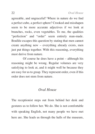agreeable, and ungraceful? Where in nature do we find a perfect cube, a perfect sphere? Crooked and misshapen seem to be more accurate adjectives if we look at branches, rocks, even vegetables. To me, the qualities "perfection" and "order" seem entirely man-made. Boullée escapes this question by stating that men cannot create anything new – everything already exists, men just put things together. With this reasoning, everything must derive from nature.

Of course he does have a point – although his reasoning might be wrong. Regular volumes are very satisfying to look at, and it might well be because they are easy for us to grasp. They represent order, even if this order does not stem from nature.

#### *Oval House*

The receptionist steps out from behind her desk and gestures us to follow her. We do. She is not comfortable with speaking English, not many people we have met here are. She leads us through the halls of the museum,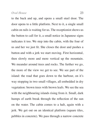to the back and up, and opens a small steel door. The door opens to a little platform. Next to it, a single small cabin on rails is waiting for us. The receptionist shows us the button to call for it, a small notice in Japanese signs indicates it too. We step into the cabin, with the four of us and her we just fit. She closes the door and pushes a button and with a jerk we start moving. First horizontal, then slowly more and more vertical up the mountain. We meander around trees and rocks. The further we go, the more of the view we get to see. We see part of the island: the road that goes down to the harbour, on it's way stopping in two small villages, all embedded in dry vegetation: brown trees with brown leafs. We see the sea with the neighbouring islands rising from it. Small, dark humps of earth break through the reflection of the sun on the water. The cabin comes to a halt, again with a jerk. We get out on an identical platform (square tiles, pebbles in concrete). We pass through a narrow concrete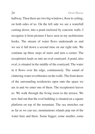hallway. Then there are two big windows, floor to ceiling, on both sides of us. On the left side we see a waterfall coming down, into a pond enclosed by concrete walls. I recognize it from pictures I have seen in my architecture books. The stream of water flows underneath us and we see it fall down a second time on our right side. We continue up three steps of stairs and turn a corner. The receptionist leads us into an oval courtyard. A pond, also oval, is situated in the middle of the courtyard. The water in it flows over the edge, continuously. The sound of clattering water reverberates on the walls. The front doors of the surrounding residencies open onto the space we are in and we enter one of them. The receptionist leaves us. We walk through the living room to the terrace. We now find out that the oval building is situated on a square platform on top of the mountain. The sea stretches out as far as we can see, mountainous islands pop out of the water here and there. Some bigger, some smaller, some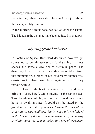seem fertile, others desolate. The sun floats just above the water, visibly sinking.

In the morning a thick haze has settled over the island. The islands in the distance have been reduced to shadows.

### *My exaggerated universe*

In Poetics of Space, Bachelard describes how we get connected to certain spaces by daydreaming in those spaces: the house allows one to dream in peace. The dwelling-places in which we daydream take, from that moment on, a place in our daydreams themselves, causing us to relive those places again and again. They remain with us.

Later in the book he states that the daydreams bring us "elsewhere", while staying in the same place. This elsewhere could be, as described, based on a former home or dwelling-place. It could also be based on the grandeur of natural experiences: "*When this elsewhere is in natural surroundings, that is, when it is not lodged in the houses of the past, it is immense. (…) Immensity is within ourselves. It is attached to a sort of expansion*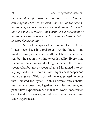*of being that life curbs and caution arrests, but that starts again when we are alone. As soon as we become motionless, we are elsewhere; we are dreaming in a world that is immense. Indeed, immensity is the movement of motionless man. It is one of the dynamic characteristics of quiet daydreaming.*" 6

Most of the spaces that I dream of are not real. I have never been in a real forest, yet the forest in my mind is huge, ancient and endless. I have been at the sea, but the sea in my mind exceeds reality. Every time I stand at the shore, overlooking the ocean, the view is spectacular, but not as spectacular as I imagined it to be. My sky is bluer and more infinite, my water is deeper and more dangerous. This is part of the exaggerated universe that I created for myself. In this universe attics shelter me, fields expose me, I gather in circles and swaying pendulums hypnotize me. It is an ideal world, constructed out of real experiences, and idolized memories of those same experiences.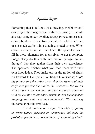*Spatial Signs*

Something that is left out (of a drawing, model or text) can trigger the imagination of the spectator (or, I could also say: user, looker, dweller, target). For example: scale, colour, borders, perspective or context could be left out, or not made explicit, in a drawing, model or text. When certain elements are left undefined, the spectator has to fill in these elements for themselves to get a complete image. They do this with information (image, sound, thought) that they gather from their own experience. The spectator finishes what you feed them with their own knowledge. They make use of the notion of signs. As Edward T. Hall puts it in Hidden Dimensions: "*Both the painter and the writer know that the essence of their craft is to provide the reader, the listener or the viewer with properly selected cues, that are not only congruent with the events depicted but consistent with the unspoken language and culture of their audience*".<sup>7</sup> We could say the same about the architect.

The definition of a sign: *"an object, quality or event whose presence or occurrence indicates the probable presence or occurrence of something else*."8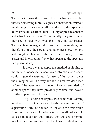The sign informs the viewer: this is what you see, but there is something more. A sign is an abstraction. Without mentioning or showing all the details, the spectator knows what this certain object, quality or presence means and what to expect next. Consequently, they finish what they see or hear with what they know by experience. The spectator is triggered to use their imagination, and therefore to use their own personal experience, memory and thoughts. This makes the entire happening (of seeing a sign and interpreting it) one that speaks to the spectator in a personal way.

Is there a way to apply this method of signing to the three-dimensional space? An abstraction of a space could trigger the spectator (or user of the space) to use their imagination in a way similar to how we described before. The spectator is unconsciously reminded of another space they have previously visited and have a similar experience in this one.

To give some examples: two slant walls coming together as a roof above our heads may remind us of a primitive form of shelter, or an attic we remember from our first home. An object in the middle of a circle tells us to focus on that object: this too could remind us of an ancient architecture: the house centred on the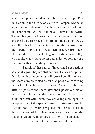#### *Spatial Signs* 29

hearth, temples centred on an object of worship. (This in relation to the theory of Gottfried Semper, who talks about the four elements of architecture in his book with the same name. At the start of all, there is the hearth. The fire brings people together: for the warmth, the food and the light. To protect this fire and this gathering, we need the other three elements: the roof, the enclosure and the mount.) $9$  Two slant walls leaning away from each other could evoke the feeling of standing in a valley, with rocky walls rising up on both sides, or perhaps of a stadium, with surrounding tribunes.

I think of these three-dimensional abstractions as spatial signs. They are abstractions of spaces people are familiar with by experience. All form of detail is left out; the spaces are presented as pure as possible, consisting only of solid volumes and planes. By not naming the different parts of the space after their possible function or the possible action the spectator/user of the space could perform with them, they are completely open for interpretation of the spectator/user. To give an example: I would not say "chairs are placed in a circle" but take the abstraction of this phenomenon and show a circular shape of which the outer circle is slightly heightened.

This method of spatial signs could be used to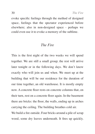evoke specific feelings through the method of designed space, feelings that the spectator experienced before elsewhere; also in non-designed space - perhaps we could even use it to evoke a memory of the sublime.

#### *The Fire*

This is the first night of the two weeks we will spend together. We are still a small group; the rest will arrive later tonight or in the following days. We don't know exactly who will join us and when. We meet up at the building that will be our residence for the duration of our time together, an old warehouse. It is mostly empty now. A concrete floor rests on concrete columns that, on their turn, rest on a concrete floor again. In the basement there are bricks: the floor, the walls, ending up in arches carrying the ceiling. The building breathes cold air.

We build a fire outside. Four bricks around a pile of scrap wood, some dry leaves underneath. It fires up quickly.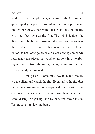With five or six people, we gather around the fire. We are quite equally dispersed. We sit on the brick pavement, first on our knees, then with our legs to the side, finally with our feet towards the fire. The wind decides the direction of both the smoke and the heat, and as soon as the wind shifts, we shift. Either to get warmer or to get out of the heat or to get fresh air. Occasionally somebody rearranges the pieces of wood or throws in a nearbylaying branch from the tree growing behind us, the one we are nearly sitting under.

Time passes. Sometimes we talk, but mostly we are silent and watch the fire. Eventually, the fire dies on its own. We are getting sleepy and don't wait for the end. When the last pieces of wood, now charcoal, are still smouldering, we get up, one by one, and move inside. We prepare our sleeping bags.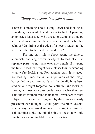### *Sitting on a stone in a field a while*

There is something about sitting down and looking at something for a while that allows us to think. A painting, an object, a landscape. Why does, for example sitting by a fire and watching the flames dance around each other calm us? Or sitting at the edge of a beach, watching the waves crash into the sand over and over?

For one part, this is about taking the time to appreciate one single view or object: to look at all the separate parts, to not skip over any details. By taking the time to look, we might come closer to understanding what we're looking at. For another part, it is about not looking. Once the initial impression of the image has settled in and afterwards, all the details have been studied, one might forget to look actively. One looks (or stares), but does not consciously process what they see. This allows for their mind to float off. It wanders to other subjects that are either triggered by the view or already present in their thoughts. At this point, the brain does not receive any new visual impulses: the sight is familiar. This familiar sight, the initial point of focus, now only functions as a comfortable ocular distraction.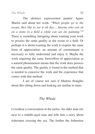The abstract expressionist painter Agnes Martin said about her work: "*When people go to the ocean, they like to see it all day… Anyone who can sit on a stone in a field a while can see my painting.*"<sup>10</sup> There is something intriguing about wanting your work to possess the same quality as the ocean or a field. Or perhaps it is about wanting the work to require the same form of appreciation: an amount of commitment is necessary to fully understand and enjoy it. Maybe the work requiring the same form/effort of appreciation as a natural phenomenon means that the work does possess the same quality. The quality is found in the method that is needed to conceive the work and the experience that comes with that method.

I am of course not sure if Martins thoughts about this sitting down and looking are similar to mine.

## *The Whale*

I overhear a conversation in the metro. An older man sits next to a middle-aged man and tells him a story about fishermen crossing the sea. The further the fishermen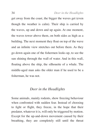get away from the coast, the bigger the waves get (even though the weather is calm). Their ship is carried by the waves, up and down and up again. At one moment, the waves tower above them, on both sides as high as a building. The next moment they float on top of the wave and an infinite view stretches out before them. As they go down again one of the fishermen looks up, to see the sun shining through the wall of water. And in this wall, floating above the ship, the silhouette of a whale. The middle-aged man asks the older man if he used to be a fisherman, he was not.

#### *Deer in the Headlights*

Some animals, mainly rodents, show freezing behaviour when confronted with sudden fear. Instead of choosing to fight or flight, they freeze, in the hope that their predator, whatever it is, will only be triggered by motion. Except for the up-and-down movement caused by their breathing, they are completely still until the threat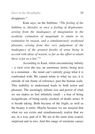disappears.<sup>11</sup>

Kant says, on the Sublime: "*The feeling of the Sublime is, therefor, at once a feeling of displeasure, arising from the inadequacy of imagination in the aesthetic estimation of magnitude to attain to its estimation by reason, and a simultaneously awakened pleasure, arising from this very judgement of the inadequacy of the greatest faculty of sense being in accord with ideas of reason, so far as the effort to attain these is for us a law.*"<sup>12</sup>

According to Kant, when encountering infinity – a view over the sea, an enormous storm, being next to a mountain – the mind can't entirely grasp what it is confronted with. We cannot relate to what we see, it is outside of our frame of reference, past the human scale. This inability to understand leads to both terror and pleasure. The seemingly infinite size and power of what we see makes us feel infinitely small – a fear of being insignificant, of being easily crushed, of death, arises. It is breath taking. Both because of the fright, as well as the beauty it emits. Maybe because we are amazed that what we see exists and simultaneously realize that we are, in a way, part of it. We are at the same time scared, surprised and in awe. And this range of emotions causes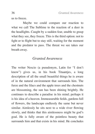us to freeze.

Maybe we could compare our reaction to what we call The Sublime to the reaction of a deer in the headlights. Caught by a sudden fear, unable to grasp what they see, they freeze. This is the third option: not to fight or to flight but to stay still, waiting for the moment and the predator to pass. The threat we see takes our breath away.

### *Granted Awareness*

The writer Nescio (a pseudonym, Latin for "I don't know") gives us, in his book Titaantjes, a long description of all the small beautiful things he is aware of in the natural environment that surrounds him. The furze and the lilacs and the apple trees and the chestnuts are blossoming, the sun has been shining brightly. He continues to describe a paradise in his mind; perhaps it is his idea of a heaven. Immeasurable fields, gardens full of flowers, the landscape endlessly the same but never similar. Aimlessly he sits next to a wide river flowing slowly, and thinks that this aimlessness might be god's goal. He is fully aware of the pointless beauty that surrounds him and that exists in his mind. He concludes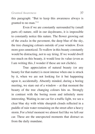this paragraph: "But to keep this awareness always is granted to no man."<sup>13</sup>

Even if we are constantly surrounded by (small parts of) nature, still in our daydreams, it is impossible to constantly notice this nature. The flower growing out of the cracks in the pavement, the deep blue of the sky, the tree changing colours outside of your window. Even more goes unnoticed. To wallow in this beauty constantly would be distracting, not to say tiring. If we would dwell too much on this beauty, it would lose its value (even as I am writing this, I wonder if these are not clichés).

True appreciation of natural beauty (or any beauty for that matter) is most intense when one is struck by it, when we are not looking for it but happening upon it, accidentally. Absently minded, during a boring meeting, we stare out of a window – at that moment the beauty of the tree changing colours hits us. Strongly in contrast with the boring room and infinitely more interesting. Waiting in our car for a traffic light, we see a clear blue sky with white sheepish clouds reflected in a puddle of rain water remaining on the street after a heavy storm. For a brief moment we almost feel like we left our car. These are the unexpected moments that distract us from the daily mundane.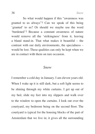So what would happen if this "awareness was granted to us always"? Can we speak of this being 'granted' to us? Or should we maybe use the word 'burdened'? Because a constant awareness of nature would remove all the 'strikingness' from it, leaving a bland stand-in. That what makes it beautiful – the contrast with our daily environments, the specialness – would be lost. These qualities can only be kept when we are in contact with them on rare occasion.

#### *Snow*

I remember a cold day in January. I am eleven years old. When I wake up it is still dark, but a soft light seems to be shining through my white curtains. I get up out of my bed, slide my feet into my slippers and walk over to the window to open the curtains. I look out over the courtyard, my bedroom being on the second floor. The courtyard is typical for the housing blocks of the part of Amsterdam that we live in; it gives all the surrounding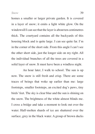homes a smaller or larger private garden. It is covered in a layer of snow; it emits a light white glow. On the windowsill I can see that the layer is about ten centimetres thick. The courtyard contains all the backyards of this housing block and is quite large. I can see quite far. I'm in the corner of the short side. From this angle I can't see the other short side, just the longer side on my right. All the individual branches of all the trees are covered in a solid layer of snow. It must have been a windless night.

An hour later, I walk to school. The sun is up now. The snow is still fresh and crisp. There are some traces of beings that woke up earlier than me: large footsteps, smaller footsteps, an excited dog's paws, tiny birds' feet. The sky is clear blue and the sun is shining on the snow. The brightness of the white almost blinds me. I cross a bridge and take a moment to look out over the water. Half-molten shards of ice are shattered over the surface, grey in the black water. A group of brown ducks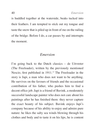is huddled together at the waterside, beaks tucked into their feathers. I am tempted to stick out my tongue and taste the snow that is piled up in front of me on the railing of the bridge. Before I do, a car passes by and interrupts the moment.

## *Emersion*

I'm going back to the Dutch classics – de Uitvreter (The Freeloader), written by the previously mentioned Nescio, first published in 1911.<sup>13</sup> The Freeloader in the story is Japi, a man who does not want to be anything. He survives on the favours of friends and the occasional contribution of his father, who pushes him to find a decent office job. Japi is a friend of Bavink, a moderately successful landscape painter who does not care about his paintings after he has finished them: they never capture the exact beauty of his subject. Bavink enjoys Japi's company because of his ability to enjoy and admire pure nature: he likes the salty sea winds blowing through his clothes and body and to taste it on his lips, he is content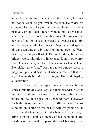#### *Emersion* 41

about the fields and the sky and the clouds, he does not notice when he gets wet in the rain. He trades his company for Bavinks paintings, which he sells. He falls in love with an older French woman and is devastated when she leaves him for another man. He takes on the boring office job. These consecutive events cause him to lose his joy in life. He moves to Nijmegen and spends his days standing on a bridge, looking out over the Waal. One day, he steps off of it. Before he does, he tells a bridge watch, who tries to intervene: "Don't you worry, boy." In a later story we learn that, a couple of years later, Bavink has gone "mad". He has painted a masterpiece, a magnum opus, and destroys it when he realises that this work has made him rich and famous. He is admitted to an institution.

There are a couple more characters in the stories, but Bavink and Japi and their friendship strike me most. Both are consumed by the beauty they see in nature, in the landscapes that surround them. However, for both this obsession exists in a different way. Bavink is bound on capturing this beauty with his painting. He is frustrated when he can't, but when he finally does, it drives him mad. Japi is content with just being in nature: for days on end, with no particular goal but to just be.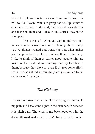When this pleasure is taken away from him he loses his will to live. Bavink wants to grasp nature, Japi wants to emerge in nature. In the end, they both do exactly this and it means their end – also in the stories: they never re-appear.

The stories of Bavink and Japi might try to tell us some wise lessons – about obtaining those things you've always wanted and treasuring that what makes you happy – but I prefer to not see them in that way. I like to think of them as stories about people who are aware of their natural surroundings and try to relate to them, because they have to, even if it takes some effort. Even if these natural surroundings are just limited to the outskirts of Amsterdam.

## *The Highway*

I'm rolling down the bridge. The streetlights illuminate my path and I see some lights in the distance, in between it is pitch-dark. The wind in my back together with the downhill road make that I don't have to pedal at all.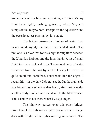Some parts of my bike are squeaking  $-1$  think it's my front fender lightly pushing against my wheel. Maybe it is my saddle, maybe both. Except for the squeaking and the occasional car passing by, it is quiet.

The bridge crosses two bodies of water that, in my mind, signify the end of the habited world. The first one is a river that forms a big thoroughfare between the IJmuiden harbour and the inner lands. A lot of small freighters pass back and forth. The second body of water is divided from the first by a dike. On my left side it is quite small and contained, houseboats line the edges. I recall this – in the dark I do not see it. On the right side is a bigger body of water that leads, after going under another bridge and around an island, to the Markermeer. This island was not there when I was younger.

The highway passes over this other bridge. From here, I can only see its lights: a row of static orange dots with bright, white lights moving in between. The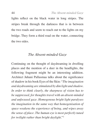lights reflect on the black water in long stripes. The stripes break through the darkness that is in between the two roads and seem to reach out to the lights on my bridge. They form a third road on the water, connecting the two sides.

### *The Absent-minded Gaze*

Continuing on the thought of daydreaming in dwelling places and the mention of a deer in the headlights, the following fragment might be an interesting addition. Architect Juhani Pallasmaa talks about the significance of shadow in his book Eyes of the Skin: "*The imagination and daydreaming are stimulated by dim light and shadow. In order to think clearly, the sharpness of vision has to be suppressed, for thoughts travel with an absent-minded and unfocused gaze. Homogenous bright light paralyses the imagination in the same way that homogenisation of space weakens the experience of being, and wipes away the sense of place. The human eye is most perfectly tuned for twilight rather than bright daylight.*"2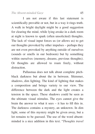I am not aware if this last statement is scientifically provable or not, but in a way it rings truth. A walk in bright daylight might be a good suggestion for clearing the mind, while lying awake in a dark room at night is known to spark (often unsolicited) thoughts. The lack of visual input forces us (or allows us) to get our thoughts provoked by other impulses – perhaps they are not even provoked by anything outside of ourselves (sounds or smells in our bedroom) but by something within ourselves (memory, dreams, previous thoughts). Or thoughts are allowed to roam freely, without distraction.

Pallasmaa does not talk about complete pitchblack darkness but about the in between. Shimmer, shadows, dim lighting. The kind of lighting that makes a composition and brings variety to our view. The difference between the dark and the light creates a tension in the space. These shadows could be seen as the ultimate visual stimulus. The eyes cannot give the brain the answer to what it sees – it has to fill this in. The darkness contains a mystery, an unknown. In dim light, some of this mystery might be given away, but a lot remains to be guessed. The use of the word absentminded is a nice addition in this text. "*Thoughts travel*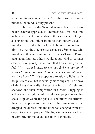*with an absent-minded gaze.*" If the gaze is absentminded, the mind is fully present.

In Eyes of the Skin Pallasmaa pleads for a less ocular-centred approach to architecture. This leads me to believe that he understands the experience of light as something that might be more than purely visual (it might also be why the lack of light is so important to him – it gives the other senses a chance). Somebody who might have this in common is artist James Turrell. Turrell talks about light as others would about wind or perhaps electricity or gravity: as a force that flows, that you can feel. "*(…) like a breeze, so you can feel you can touch it. Just because we haven't named a sense doesn't mean we don't have it.*"14 He proposes a relation to light that is not purely visual, but is actually more physical. This way of thinking drastically changes the impact of light and shadows and their composition in a room. Stepping in and out of the light would be like stepping into another space, a space where the physical conditions are different than in the previous one. As if the temperature had dropped ten degrees and the floor had changed from soft carpet to smooth parquet. The light influences our level of comfort, our mood and our flow of thought.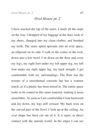*Oval House pt. 2*

I have reached the top of the stairs. I made all the stops on the way. I dropped of my baggage at the door, took of my shoes, changed into my clean clothes, and brushed my teeth. The stairs spiral upwards into an oval space, an ellipsoid on its side. I walk to the centre of the oval, down into a low bowl. I sit down on the floor and cross my legs, my right foot under my left upper leg, my left foot under my right upper leg, my back straight. I get comfortable with my surroundings. The floor has the texture of a smoothened concrete but has a warmer touch, as if a plastic has been mixed in. The entire space looks to be coated in this same material, making it seem monolithic. As soon as I am comfortable I lean backward and lay down, my legs still crossed. My back rests on the curved part of the bowl. I look up at the ceiling. An oval shape has been cut out of it. It is open, in direct contact with the outside world. In the edges I can see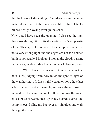the thickness of the ceiling. The edges are in the same material and part of the same monolith. I think I feel a breeze lightly blowing through the space.

Now that I have seen the opening, I also see the light that casts through it. It hits the vertical surface opposite of me. This is just left of where I came up the stairs. It is not a very strong light and the edges are not too defined but it is noticeable. I look up. I look at the clouds passing by; it is a grey day today. For a moment I close my eyes.

When I open them again it must be about an hour later, judging from how much the spot of light on the wall has moved. It is slightly brighter now, the edges a bit sharper. I get up, stretch, and exit the ellipsoid. I move down the stairs and make all the stops on the way. I have a glass of water, dress up in my outside clothes and tie my shoes. I sling my bag over my shoulder and walk through the door.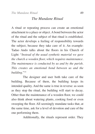*The Mundane Ritual*

A ritual or repeating process can create an emotional attachment to a place or object. A bond between the actor of the ritual and the subject of that ritual is established. The actor develops a feeling of responsibility towards the subject, because they take care of it. An example: Tadao Ando talks about the floors in his Church of Light: "*Instead of the usual synthetic material we gave the church a wooden floor, which requires maintenance. The maintenance is conducted by us and by the parish. This creates an emotional bond between us and the building.*"15

The designer and user both take care of the building. Because of them, the building keeps its intended quality. And the same is true in reverse: as soon as they stop the ritual, the building will start to decay. Other than the maintenance of a wooden floor, we could also think about watering plants, cooking food or even sweeping the floor. All seemingly mundane tasks that, at the same time, ask for a level of devotion and care of the one performing them.

Additionally, the rituals represent order. They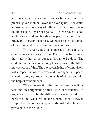are reoccurring events that have to be acted out at a precise, given moment, over and over again. They could almost be used as a way of telling time: we have to wax the floor again, a year has passed – or: we have to cook another meal and another day has passed. Rituals make order, and therefor make rest. We give care to the subject of the ritual and get a feeling of rest in return.

This order could of course also be seen as a chain to ones leg, as a prison. There is no freedom in the ritual: it has to be done, as it has to be done. The epidemic of depression among housewives in the fifties may be proof of this. The days, consisting of compulsory tasks, repeat themselves over and over again and peace was ultimately not found in the cycle of rituals but with the help of tranquilizers.

Where do we find the line between a tedious task and an enlightening ritual? Is it in frequency? In urgency? Is it maybe the difference in what we do for ourselves and what we do for others? Or is it maybe simply the freedom to independently make the choice to participate in the ritual?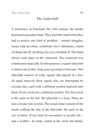*The Labyrinth*

A monastery in Friesland, the 14th century, the monks honoured a peculiar ritual. They used this ritual when they had to resolve any kind of problem – mental struggles, issues with devotion, somebody else's dilemmas, a herd of sheep ran off, anything else you can think of. The ritual always took place in the courtyard. The courtyard was constructed especially for this purpose: a square labyrinth is drawn out in tiles, long grass growing in between. This labyrinth consists of wide, square tiles placed in a line. At equal intervals these square tiles are interrupted by circular tiles, each with a different symbol depicted onto them. Every circle has a different symbol. The first circle is the same as the last: the labyrinth is a loop. There are nine circular tiles in total. The actual ritual consists of the monk walking the line of the labyrinth. He starts at the rise of dawn. Every time he encounters a circular tile – and a symbol – he stops, stands in the circle and thinks.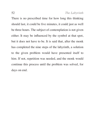There is no prescribed time for how long this thinking should last, it could be five minutes, it could just as well be three hours. The subject of contemplation is not given either. It may be influenced by the symbol at that spot, but it does not have to be. It is said that, after the monk has completed the nine steps of the labyrinth, a solution to the given problem would have presented itself to him. If not, repetition was needed, and the monk would continue this process until the problem was solved, for days on end.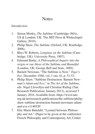# **Notes**

#### *Introduction*

- 1. Simon Morley, *The Sublime* (Cambridge (MA), US & London, UK: The MIT Press & Whitechapel Gallery, 2010).
- 2. Philip Shaw, *The Sublime* (Oxford, UK: Routledge, 2006).
- 3. Rhys W. Roberts, *Longinus on the Sublime* (Cambridge, UK): University Press, 1907).
- 4. Edmund Burke, *A Philosophical Inquiry into the origin or our Ideas of the Sublime and Beautiful* (London, UK: George Bell and Sons, 1889).
- 5. Barnett Newman, "The Sublime is Now." *Tiger's Eye.* December 1948, vol. 1 (no. 6), p. 51-53.
- 6. Philip Shaw, "Sublime Destruction: Barnett Newman's *Adam and Eve*," in *The Art of the Sublime*, eds. Nigel Llewellyn and Christine Riding (Tate Research Publication; January 2013), accessed 5 January 2016. Available from: https://www.tate. org.uk/art/research-publications/the-sublime/philipshaw-sublime-destruction-barnett-newmans-adamand-eve-r1140520
- 7. Else Marie Bukdahl, "Lyotard between Philosophy and Art." (Paper to be given at the conference French Philosophy and Contemporary Art, Center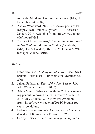for Body, Mind and Culture, Boca Raton (FL), US, December 3-4, 2007).

- 8. Ashley Woodward, "Internet Encyclopedia of Philosophy: Jean-Francois Lyotard," *IEP*, accessed 10 January 2016. Available from: http://www.iep.utm. edu/lyotard/#H4
- 9. Barbara Claire Freeman, "The Feminine Sublime," in *The Sublime*, ed. Simon Morley (Cambridge (MA), US & London, UK: The MIT Press & Whitechapel Gallery, 2010).

#### *Main text*

- 1. Peter Zumthor, *Thinking architecture* (Basel, Switzerland: Birkhäuser – Publishers for Architecture, 2006).
- 2. Juhani Pallasmaa, *Eyes of the skin* (Sussex, UK: John Wiley & Sons Ltd, 2005).
- 3. Adam Mann, "What's up with that? How a swinging pendulum proves the earth rotates," WIRED, 2014 May 27 [cited 2015 Nov 29]. Available from: http://www.wired.com/2014/05/wuwt-foucaults-pendulum/
- 4. Helen Rosenau, *Boullée & visionary architecture* (London, UK: Academy Editions, 1976).
- 5. George Hersey, *Architecture and geometry in the*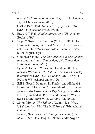*age of the Baroque* (Chicago (IL), US: The University of Chicago Press, 2000).

- 6. Gaston Bachelard. *The poetics of space* (Boston (MA), US: Beacon Press, 1994).
- 7. Edward T. Hall, *Hidden dimensions* (US: Anchor Books, 1990).
- 8. "Sign," *Oxford Dictionaries* (Oxford, UK: Oxford University Press), accessed March 31 2015. Available from: http://www.oxforddictionaries.com/definition/english/sign
- 9. Gottfried Semper, *The four elements of architecture and other writings* (Cambridge, UK: Cambridge University Press, 2011).
- 10. Lynn M. Herbert, "Spirit and Light and the Immensity Within" in *The Sublime*, ed. Simon Morley (Cambridge (MA), US & London, UK: The MIT Press & Whitechapel Gallery, 2010).
- 11. Bill P. Godsil, Matthew R. Tinsley and Michael S Fanselow, "Motivation" in *Handbook of Psychology – Vol. 4 – Experimental Psychology*, eds. Alice F. Healy, Robert W. Proctor and Irving B. Weiner (Sussex, UK: John Wiley & Sons Ltd, 2003).
- 12. Simon Morley, *The Sublime* (Cambridge (MA), US & London, UK: The MIT Press & Whitechapel Gallery, 2010).
- 13. Nescio, *De uitvreter Titaantjes Dichtertje Mene Tekel* (Den Haag, the Netherlands: Nijgh &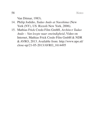Van Ditmar, 1983).

- 14. Philip Jodidio, *Tadao Ando at Naoshima* (New York (NY), US: Rizzoli New York, 2006).
- 15. Mathias Frick Credo Film GmbH, *Architect Tadao Ando – Van leegte naar oneindigheid*, Video on Internet, Mathias Frick Credo Film GmbH & NDR & AVRO, 2013. Available from: http://www.npo.nl/ close-up/21-05-2013/AVRO\_1614495